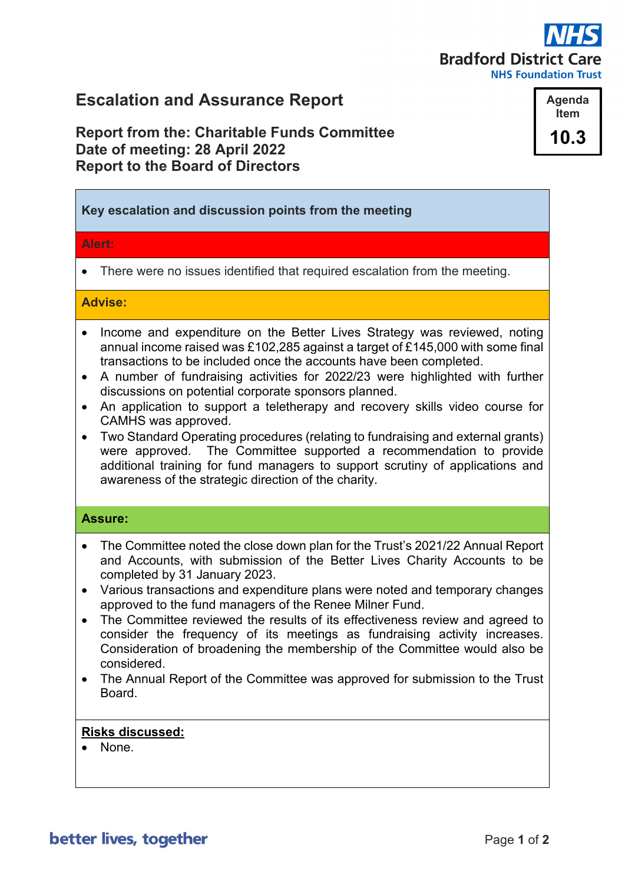# **Bradford District Care NHS Foundation Trust**

# **Escalation and Assurance Report**

**Report from the: Charitable Funds Committee Date of meeting: 28 April 2022 Report to the Board of Directors**

**Agenda Item 10.3**

### **Key escalation and discussion points from the meeting**

#### **Alert:**

• There were no issues identified that required escalation from the meeting.

#### **Advise:**

- Income and expenditure on the Better Lives Strategy was reviewed, noting annual income raised was £102,285 against a target of £145,000 with some final transactions to be included once the accounts have been completed.
- A number of fundraising activities for 2022/23 were highlighted with further discussions on potential corporate sponsors planned.
- An application to support a teletherapy and recovery skills video course for CAMHS was approved.
- Two Standard Operating procedures (relating to fundraising and external grants) were approved. The Committee supported a recommendation to provide additional training for fund managers to support scrutiny of applications and awareness of the strategic direction of the charity.

#### **Assure:**

- The Committee noted the close down plan for the Trust's 2021/22 Annual Report and Accounts, with submission of the Better Lives Charity Accounts to be completed by 31 January 2023.
- Various transactions and expenditure plans were noted and temporary changes approved to the fund managers of the Renee Milner Fund.
- The Committee reviewed the results of its effectiveness review and agreed to consider the frequency of its meetings as fundraising activity increases. Consideration of broadening the membership of the Committee would also be considered.
- The Annual Report of the Committee was approved for submission to the Trust **Board**

#### **Risks discussed:**

• None.